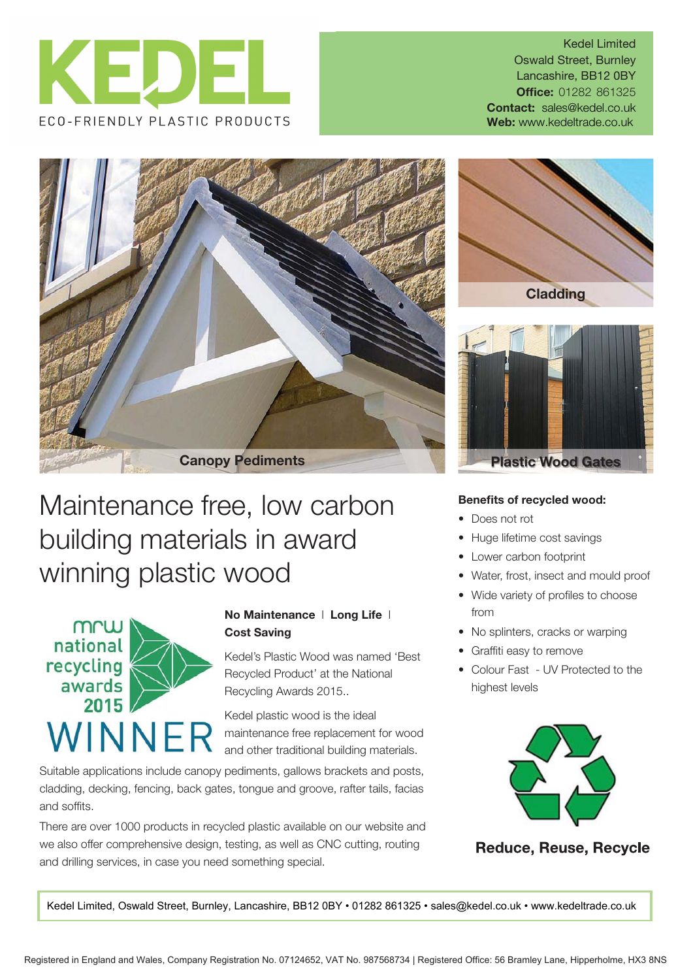

Kedel Limited Oswald Street, Burnley Lancashire, BB12 0BY **Office: 01282 861325 Contact:** sales@kedel.co.uk Web: www.kedeltrade.co.uk



## Maintenance free, low carbon building materials in award winning plastic wood



## **No Maintenance** l **Long Life** l **Cost Saving**

Kedel's Plastic Wood was named 'Best Recycled Product' at the National Recycling Awards 2015..

Kedel plastic wood is the ideal maintenance free replacement for wood and other traditional building materials.

Suitable applications include canopy pediments, gallows brackets and posts, cladding, decking, fencing, back gates, tongue and groove, rafter tails, facias and soffits.

There are over 1000 products in recycled plastic available on our website and we also offer comprehensive design, testing, as well as CNC cutting, routing and drilling services, in case you need something special.





## **Benefits of recycled wood:**

- Does not rot
- Huge lifetime cost savings
- Lower carbon footprint
- Water, frost, insect and mould proof
- Wide variety of profiles to choose from
- No splinters, cracks or warping
- Graffiti easy to remove
- Colour Fast UV Protected to the highest levels



**Reduce, Reuse, Recycle** 

Kedel Limited, Oswald Street, Burnley, Lancashire, BB12 0BY • 01282 861325 • sales@kedel.co.uk • www.kedeltrade.co.uk